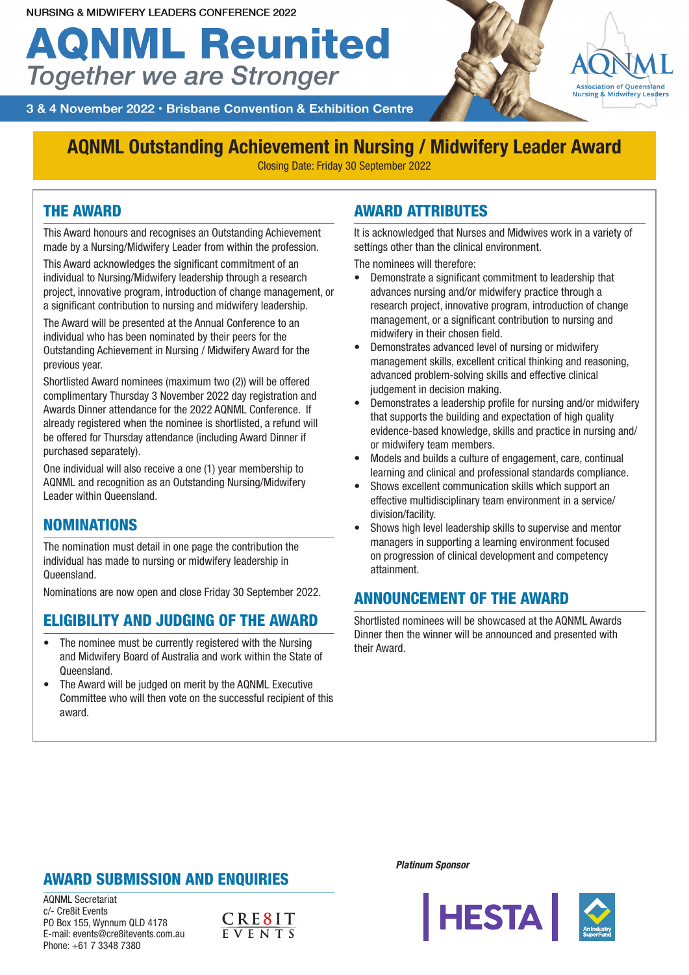# **AQNML Reunited Together we are Stronger**



3 & 4 November 2022 · Brisbane Convention & Exhibition Centre

## **AQNML Outstanding Achievement in Nursing / Midwifery Leader Award**

Closing Date: Friday 30 September 2022

#### THE AWARD

This Award honours and recognises an Outstanding Achievement made by a Nursing/Midwifery Leader from within the profession.

This Award acknowledges the significant commitment of an individual to Nursing/Midwifery leadership through a research project, innovative program, introduction of change management, or a significant contribution to nursing and midwifery leadership.

The Award will be presented at the Annual Conference to an individual who has been nominated by their peers for the Outstanding Achievement in Nursing / Midwifery Award for the previous year.

Shortlisted Award nominees (maximum two (2)) will be offered complimentary Thursday 3 November 2022 day registration and Awards Dinner attendance for the 2022 AQNML Conference. If already registered when the nominee is shortlisted, a refund will be offered for Thursday attendance (including Award Dinner if purchased separately).

One individual will also receive a one (1) year membership to AQNML and recognition as an Outstanding Nursing/Midwifery Leader within Queensland.

#### **NOMINATIONS**

The nomination must detail in one page the contribution the individual has made to nursing or midwifery leadership in Queensland.

Nominations are now open and close Friday 30 September 2022.

#### ELIGIBILITY AND JUDGING OF THE AWARD

- The nominee must be currently registered with the Nursing and Midwifery Board of Australia and work within the State of Queensland.
- The Award will be judged on merit by the AQNML Executive Committee who will then vote on the successful recipient of this award.

#### AWARD ATTRIBUTES

It is acknowledged that Nurses and Midwives work in a variety of settings other than the clinical environment.

The nominees will therefore:

- Demonstrate a significant commitment to leadership that advances nursing and/or midwifery practice through a research project, innovative program, introduction of change management, or a significant contribution to nursing and midwifery in their chosen field.
- Demonstrates advanced level of nursing or midwifery management skills, excellent critical thinking and reasoning, advanced problem-solving skills and effective clinical judgement in decision making.
- Demonstrates a leadership profile for nursing and/or midwifery that supports the building and expectation of high quality evidence-based knowledge, skills and practice in nursing and/ or midwifery team members.
- Models and builds a culture of engagement, care, continual learning and clinical and professional standards compliance.
- Shows excellent communication skills which support an effective multidisciplinary team environment in a service/ division/facility.
- Shows high level leadership skills to supervise and mentor managers in supporting a learning environment focused on progression of clinical development and competency attainment.

#### ANNOUNCEMENT OF THE AWARD

Shortlisted nominees will be showcased at the AQNML Awards Dinner then the winner will be announced and presented with their Award.

#### AWARD SUBMISSION AND ENQUIRIES

AQNML Secretariat c/- Cre8it Events PO Box 155, Wynnum QLD 4178 E-mail: events@cre8itevents.com.au Phone: +61 7 3348 7380



*Platinum Sponsor*